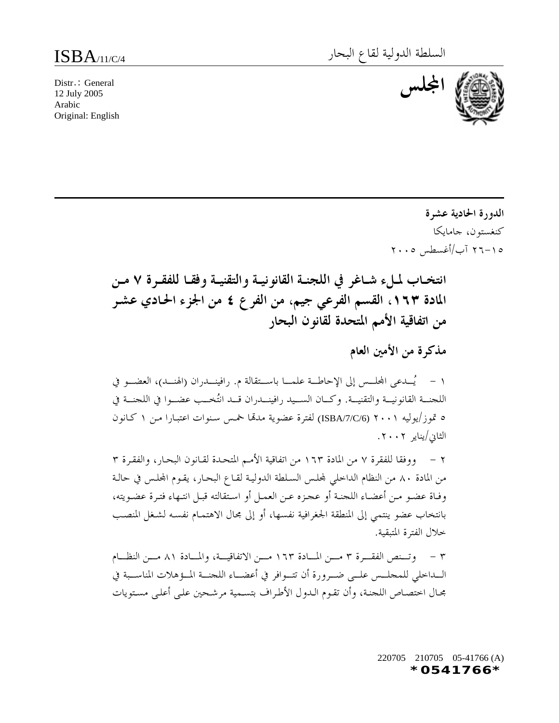**اجمللس** Distr.: General 12 July 2005 Arabic Original: English



**الدورة الحادية عشرة** كنغستون، جامايكا ٢٦-١٥ آب/أغسطس ٢٠٠٥

**انتخــاب لمــلء شــاغر في اللجنــة القانونيــة والتقنيــة وفقــا للفقــرة ٧ مــن المادة ،١٦٣ القسم الفرعي جيم، من الفرع ٤ من الجزء الحـادي عشـر من اتفاقية الأمم المتحدة لقانون البحار**

**مذكرة من الأمين العام**

١ - يُـــدعى اجمللـــس إلى الإحاطـــة علمـــا باســـتقالة م. رافينـــدران (الهنـــد)، العضـــو في اللجنـــة القانونيـــة والتقنيـــة. وكـــان الســـيد رافينـــدران قـــد انتُخـــب عضـــوا في اللجنـــة في ٥ تموز/يوليه ٢٠٠١ (/6C/7/ISBA (لفترة عضوية مدهتا خمـس سـنوات اعتبـارا مـن ١ كـانون الثاني/يناير .٢٠٠٢

٢ - ووفقا للفقرة ٧ من المادة ١٦٣ من اتفاقية الأمـم المتحـدة لقـانون البحـار، والفقـرة ٣ من المادة ٨٠ من النظام الداخلي جمللـس السـلطة الدوليـة لقـاع البحـار، يقـوم اجمللـس في حالـة وفـاة عضـو مـن أعضـاء اللجنـة أو عجـزه عـن العمـل أو اسـتقالته قبـل انتـهاء فتـرة عضـويته، بانتخاب عضو ينتمي إلى المنطقة الجغرافية نفسها، أو إلى مجال الاهتمـام نفسـه لشـغل المنصـب خلال الفترة المتبقية.

٣ - وتــــنص الفقــــرة ٣ مــــن المــــادة ١٦٣ مــــن الاتفاقيــــة، والمــــادة ٨١ مــــن النظــــام الـــداخلي للمجلـــس علـــى ضـــرورة أن تتـــوافر في أعضـــاء اللجنـــة المـــؤهلات المناســـبة في مجـال اختصـاص اللجنـة، وأن تقـوم الـدول الأطـراف بتسـمية مرشـحين علـى أعلـى مسـتويات

> 220705 210705 05-41766 (A) *\*0541766\**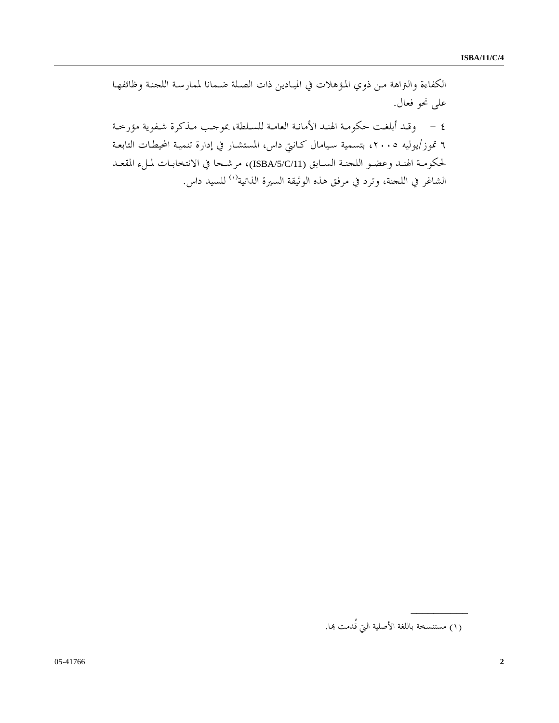الكفاءة والتراهة مـن ذوي المـؤهلات في الميـادين ذات الصـلة ضـمانا لممارسـة اللجنـة وظائفهـا على نحو فعال.

٤ - وقـد أبلغـت حكومـة الهنـد الأمانـة العامـة للسـلطة، بموجـب مـذكرة شـفوية مؤرخـة ٦ تموز/يوليه ،٢٠٠٥ بتسمية سـيامال كـانتي داس، المستشـار في إدارة تنميـة المحيطـات التابعـة لحكومـة الهنـد وعضـو اللجنـة السـابق (/11C/5/ISBA(، مرشـحا في الانتخابـات لمـلء المقعـد الشاغر في اللجنة، وترد في مرفق هذه الوثيقة السيرة الذاتية<sup>(١[\)](#page-1-0)</sup> للسيد داس.

<span id="page-1-0"></span>**\_\_\_\_\_\_\_\_\_\_**

<sup>(</sup>١) مستنسخة باللغة الأصلية التي قُدمت هبا.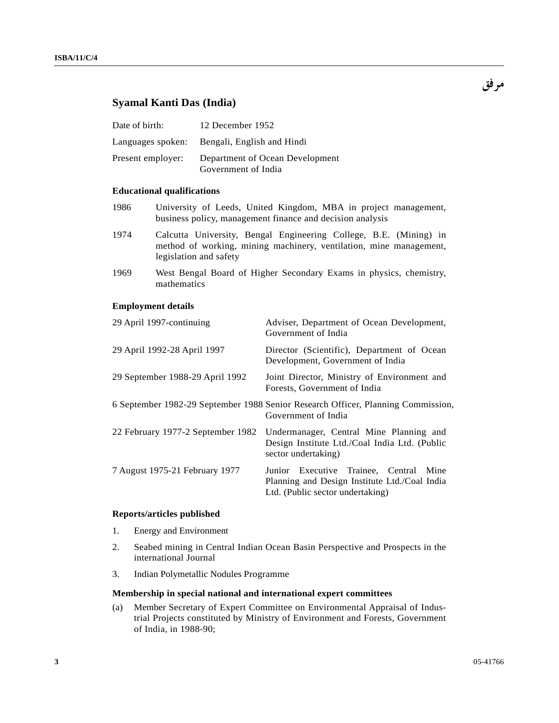# **Syamal Kanti Das (India)**

| Date of birth:    | 12 December 1952                                       |
|-------------------|--------------------------------------------------------|
|                   | Languages spoken: Bengali, English and Hindi           |
| Present employer: | Department of Ocean Development<br>Government of India |

## **Educational qualifications**

- 1986 University of Leeds, United Kingdom, MBA in project management, business policy, management finance and decision analysis
- 1974 Calcutta University, Bengal Engineering College, B.E. (Mining) in method of working, mining machinery, ventilation, mine management, legislation and safety
- 1969 West Bengal Board of Higher Secondary Exams in physics, chemistry, mathematics

### **Employment details**

| 29 April 1997-continuing          | Adviser, Department of Ocean Development,<br>Government of India                                                               |
|-----------------------------------|--------------------------------------------------------------------------------------------------------------------------------|
| 29 April 1992-28 April 1997       | Director (Scientific), Department of Ocean<br>Development, Government of India                                                 |
| 29 September 1988-29 April 1992   | Joint Director, Ministry of Environment and<br>Forests, Government of India                                                    |
|                                   | 6 September 1982-29 September 1988 Senior Research Officer, Planning Commission,<br>Government of India                        |
| 22 February 1977-2 September 1982 | Undermanager, Central Mine Planning and<br>Design Institute Ltd./Coal India Ltd. (Public<br>sector undertaking)                |
| 7 August 1975-21 February 1977    | Junior Executive Trainee, Central<br>Mine<br>Planning and Design Institute Ltd./Coal India<br>Ltd. (Public sector undertaking) |

### **Reports/articles published**

- 1. Energy and Environment
- 2. Seabed mining in Central Indian Ocean Basin Perspective and Prospects in the international Journal
- 3. Indian Polymetallic Nodules Programme

## **Membership in special national and international expert committees**

(a) Member Secretary of Expert Committee on Environmental Appraisal of Industrial Projects constituted by Ministry of Environment and Forests, Government of India, in 1988-90;

**مرفق**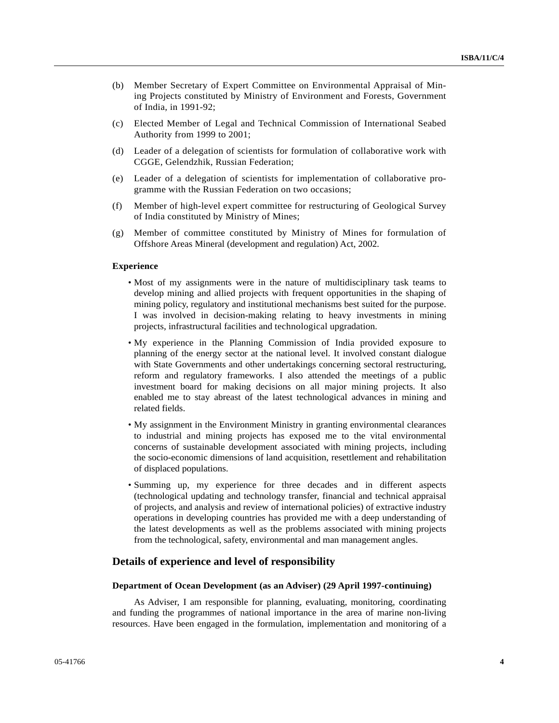- (b) Member Secretary of Expert Committee on Environmental Appraisal of Mining Projects constituted by Ministry of Environment and Forests, Government of India, in 1991-92;
- (c) Elected Member of Legal and Technical Commission of International Seabed Authority from 1999 to 2001;
- (d) Leader of a delegation of scientists for formulation of collaborative work with CGGE, Gelendzhik, Russian Federation;
- (e) Leader of a delegation of scientists for implementation of collaborative programme with the Russian Federation on two occasions;
- (f) Member of high-level expert committee for restructuring of Geological Survey of India constituted by Ministry of Mines;
- (g) Member of committee constituted by Ministry of Mines for formulation of Offshore Areas Mineral (development and regulation) Act, 2002.

#### **Experience**

- Most of my assignments were in the nature of multidisciplinary task teams to develop mining and allied projects with frequent opportunities in the shaping of mining policy, regulatory and institutional mechanisms best suited for the purpose. I was involved in decision-making relating to heavy investments in mining projects, infrastructural facilities and technological upgradation.
- My experience in the Planning Commission of India provided exposure to planning of the energy sector at the national level. It involved constant dialogue with State Governments and other undertakings concerning sectoral restructuring, reform and regulatory frameworks. I also attended the meetings of a public investment board for making decisions on all major mining projects. It also enabled me to stay abreast of the latest technological advances in mining and related fields.
- My assignment in the Environment Ministry in granting environmental clearances to industrial and mining projects has exposed me to the vital environmental concerns of sustainable development associated with mining projects, including the socio-economic dimensions of land acquisition, resettlement and rehabilitation of displaced populations.
- Summing up, my experience for three decades and in different aspects (technological updating and technology transfer, financial and technical appraisal of projects, and analysis and review of international policies) of extractive industry operations in developing countries has provided me with a deep understanding of the latest developments as well as the problems associated with mining projects from the technological, safety, environmental and man management angles.

## **Details of experience and level of responsibility**

#### **Department of Ocean Development (as an Adviser) (29 April 1997-continuing)**

 As Adviser, I am responsible for planning, evaluating, monitoring, coordinating and funding the programmes of national importance in the area of marine non-living resources. Have been engaged in the formulation, implementation and monitoring of a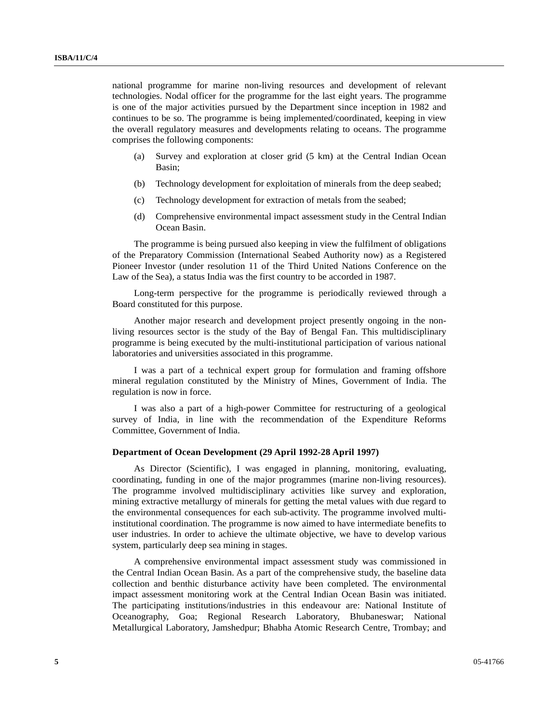national programme for marine non-living resources and development of relevant technologies. Nodal officer for the programme for the last eight years. The programme is one of the major activities pursued by the Department since inception in 1982 and continues to be so. The programme is being implemented/coordinated, keeping in view the overall regulatory measures and developments relating to oceans. The programme comprises the following components:

- (a) Survey and exploration at closer grid (5 km) at the Central Indian Ocean Basin;
- (b) Technology development for exploitation of minerals from the deep seabed;
- (c) Technology development for extraction of metals from the seabed;
- (d) Comprehensive environmental impact assessment study in the Central Indian Ocean Basin.

 The programme is being pursued also keeping in view the fulfilment of obligations of the Preparatory Commission (International Seabed Authority now) as a Registered Pioneer Investor (under resolution 11 of the Third United Nations Conference on the Law of the Sea), a status India was the first country to be accorded in 1987.

 Long-term perspective for the programme is periodically reviewed through a Board constituted for this purpose.

 Another major research and development project presently ongoing in the nonliving resources sector is the study of the Bay of Bengal Fan. This multidisciplinary programme is being executed by the multi-institutional participation of various national laboratories and universities associated in this programme.

 I was a part of a technical expert group for formulation and framing offshore mineral regulation constituted by the Ministry of Mines, Government of India. The regulation is now in force.

 I was also a part of a high-power Committee for restructuring of a geological survey of India, in line with the recommendation of the Expenditure Reforms Committee, Government of India.

#### **Department of Ocean Development (29 April 1992-28 April 1997)**

 As Director (Scientific), I was engaged in planning, monitoring, evaluating, coordinating, funding in one of the major programmes (marine non-living resources). The programme involved multidisciplinary activities like survey and exploration, mining extractive metallurgy of minerals for getting the metal values with due regard to the environmental consequences for each sub-activity. The programme involved multiinstitutional coordination. The programme is now aimed to have intermediate benefits to user industries. In order to achieve the ultimate objective, we have to develop various system, particularly deep sea mining in stages.

 A comprehensive environmental impact assessment study was commissioned in the Central Indian Ocean Basin. As a part of the comprehensive study, the baseline data collection and benthic disturbance activity have been completed. The environmental impact assessment monitoring work at the Central Indian Ocean Basin was initiated. The participating institutions/industries in this endeavour are: National Institute of Oceanography, Goa; Regional Research Laboratory, Bhubaneswar; National Metallurgical Laboratory, Jamshedpur; Bhabha Atomic Research Centre, Trombay; and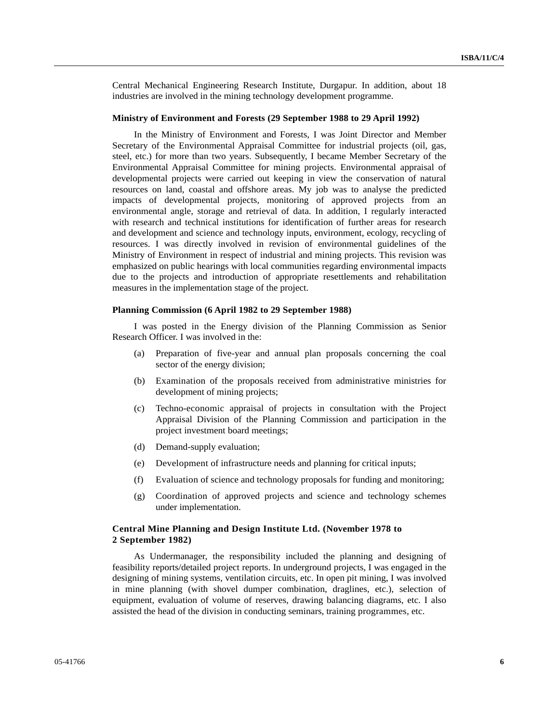Central Mechanical Engineering Research Institute, Durgapur. In addition, about 18 industries are involved in the mining technology development programme.

#### **Ministry of Environment and Forests (29 September 1988 to 29 April 1992)**

 In the Ministry of Environment and Forests, I was Joint Director and Member Secretary of the Environmental Appraisal Committee for industrial projects (oil, gas, steel, etc.) for more than two years. Subsequently, I became Member Secretary of the Environmental Appraisal Committee for mining projects. Environmental appraisal of developmental projects were carried out keeping in view the conservation of natural resources on land, coastal and offshore areas. My job was to analyse the predicted impacts of developmental projects, monitoring of approved projects from an environmental angle, storage and retrieval of data. In addition, I regularly interacted with research and technical institutions for identification of further areas for research and development and science and technology inputs, environment, ecology, recycling of resources. I was directly involved in revision of environmental guidelines of the Ministry of Environment in respect of industrial and mining projects. This revision was emphasized on public hearings with local communities regarding environmental impacts due to the projects and introduction of appropriate resettlements and rehabilitation measures in the implementation stage of the project.

#### **Planning Commission (6 April 1982 to 29 September 1988)**

 I was posted in the Energy division of the Planning Commission as Senior Research Officer. I was involved in the:

- (a) Preparation of five-year and annual plan proposals concerning the coal sector of the energy division;
- (b) Examination of the proposals received from administrative ministries for development of mining projects;
- (c) Techno-economic appraisal of projects in consultation with the Project Appraisal Division of the Planning Commission and participation in the project investment board meetings;
- (d) Demand-supply evaluation;
- (e) Development of infrastructure needs and planning for critical inputs;
- (f) Evaluation of science and technology proposals for funding and monitoring;
- (g) Coordination of approved projects and science and technology schemes under implementation.

### **Central Mine Planning and Design Institute Ltd. (November 1978 to 2 September 1982)**

 As Undermanager, the responsibility included the planning and designing of feasibility reports/detailed project reports. In underground projects, I was engaged in the designing of mining systems, ventilation circuits, etc. In open pit mining, I was involved in mine planning (with shovel dumper combination, draglines, etc.), selection of equipment, evaluation of volume of reserves, drawing balancing diagrams, etc. I also assisted the head of the division in conducting seminars, training programmes, etc.